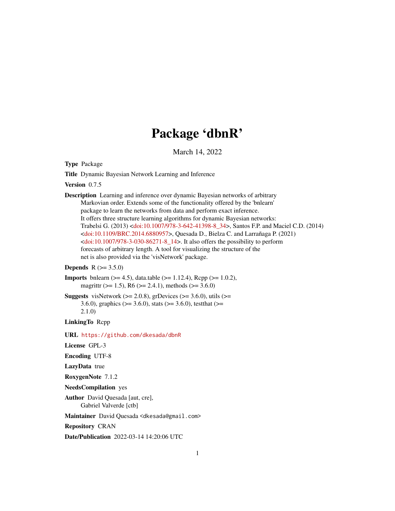# Package 'dbnR'

March 14, 2022

<span id="page-0-0"></span>Type Package

Title Dynamic Bayesian Network Learning and Inference

Version 0.7.5

Description Learning and inference over dynamic Bayesian networks of arbitrary Markovian order. Extends some of the functionality offered by the 'bnlearn' package to learn the networks from data and perform exact inference. It offers three structure learning algorithms for dynamic Bayesian networks: Trabelsi G. (2013) [<doi:10.1007/978-3-642-41398-8\\_34>](https://doi.org/10.1007/978-3-642-41398-8_34), Santos F.P. and Maciel C.D. (2014) [<doi:10.1109/BRC.2014.6880957>](https://doi.org/10.1109/BRC.2014.6880957), Quesada D., Bielza C. and Larrañaga P. (2021)  $\leq$ doi:10.1007/978-3-030-86271-8\_14>. It also offers the possibility to perform forecasts of arbitrary length. A tool for visualizing the structure of the net is also provided via the 'visNetwork' package.

#### **Depends**  $R (= 3.5.0)$

- **Imports** bnlearn  $(>= 4.5)$ , data.table  $(>= 1.12.4)$ , Rcpp  $(>= 1.0.2)$ , magrittr ( $>= 1.5$ ), R6 ( $>= 2.4.1$ ), methods ( $>= 3.6.0$ )
- **Suggests** visNetwork ( $>= 2.0.8$ ), grDevices ( $>= 3.6.0$ ), utils ( $>=$ 3.6.0), graphics ( $>= 3.6.0$ ), stats ( $>= 3.6.0$ ), testthat ( $>= 3.6$ 2.1.0)

LinkingTo Rcpp

URL <https://github.com/dkesada/dbnR>

License GPL-3

Encoding UTF-8

LazyData true

RoxygenNote 7.1.2

NeedsCompilation yes

Author David Quesada [aut, cre], Gabriel Valverde [ctb]

Maintainer David Quesada <dkesada@gmail.com>

Repository CRAN

Date/Publication 2022-03-14 14:20:06 UTC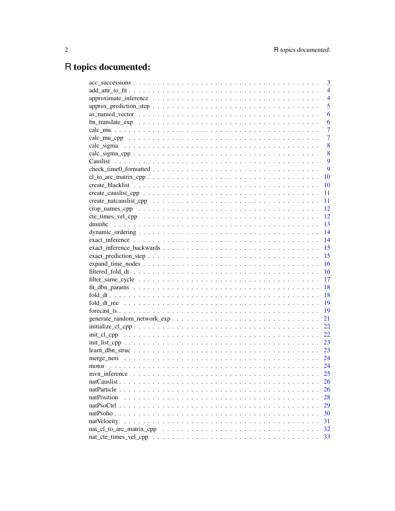# R topics documented:

|                                                                                                                           | 3              |
|---------------------------------------------------------------------------------------------------------------------------|----------------|
|                                                                                                                           | $\overline{4}$ |
|                                                                                                                           | $\overline{4}$ |
|                                                                                                                           | 5              |
|                                                                                                                           | 6              |
|                                                                                                                           | 6              |
|                                                                                                                           | 7              |
|                                                                                                                           | $\overline{7}$ |
|                                                                                                                           | 8              |
|                                                                                                                           | 8              |
|                                                                                                                           | 9              |
|                                                                                                                           | 9              |
|                                                                                                                           | 10             |
|                                                                                                                           | 10             |
|                                                                                                                           | 11             |
|                                                                                                                           | 11             |
|                                                                                                                           | 12             |
|                                                                                                                           | 12             |
|                                                                                                                           | 13             |
|                                                                                                                           | 14             |
|                                                                                                                           | 14             |
|                                                                                                                           | 15             |
|                                                                                                                           | 15             |
| $expand_time\_nodes \dots \dots \dots \dots \dots \dots \dots \dots \dots \dots \dots \dots \dots \dots \dots \dots$      | 16             |
|                                                                                                                           | 16             |
| filter_same_cycle $\dots \dots \dots \dots \dots \dots \dots \dots \dots \dots \dots \dots \dots \dots \dots \dots \dots$ | 17             |
|                                                                                                                           | 18             |
|                                                                                                                           | 18             |
|                                                                                                                           | 19             |
|                                                                                                                           | 19             |
|                                                                                                                           | 21             |
|                                                                                                                           | 22             |
|                                                                                                                           | 22             |
|                                                                                                                           | 23             |
|                                                                                                                           | 23             |
|                                                                                                                           |                |
|                                                                                                                           | 24             |
| myn inference                                                                                                             | 25             |
|                                                                                                                           | 26             |
|                                                                                                                           | 26             |
| natPosition                                                                                                               | 28             |
|                                                                                                                           | 29             |
|                                                                                                                           | 30             |
| natVelocity                                                                                                               | 31             |
|                                                                                                                           | 32             |
|                                                                                                                           | 33             |
|                                                                                                                           |                |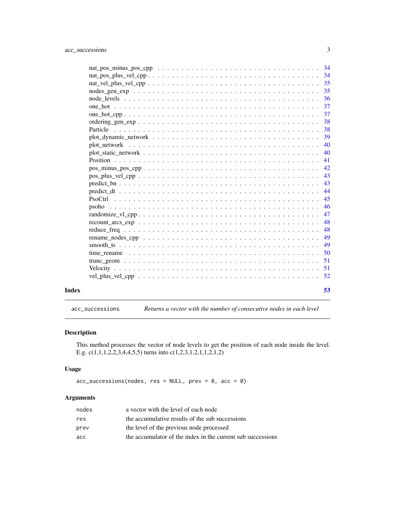<span id="page-2-0"></span>

|       |                                                                                                                  | 35 |
|-------|------------------------------------------------------------------------------------------------------------------|----|
|       |                                                                                                                  | 35 |
|       |                                                                                                                  | 36 |
|       |                                                                                                                  | 37 |
|       |                                                                                                                  | 37 |
|       |                                                                                                                  | 38 |
|       |                                                                                                                  | 38 |
|       |                                                                                                                  | 39 |
|       |                                                                                                                  | 40 |
|       |                                                                                                                  | 40 |
|       |                                                                                                                  | 41 |
|       |                                                                                                                  | 42 |
|       | $pos\_plus\_vel\_cpp \ldots \ldots \ldots \ldots \ldots \ldots \ldots \ldots \ldots \ldots \ldots \ldots \ldots$ | 43 |
|       |                                                                                                                  | 43 |
|       |                                                                                                                  | 44 |
|       |                                                                                                                  | 45 |
|       | psoho                                                                                                            | 46 |
|       |                                                                                                                  | 47 |
|       |                                                                                                                  | 48 |
|       |                                                                                                                  | 48 |
|       |                                                                                                                  | 49 |
|       |                                                                                                                  | 49 |
|       |                                                                                                                  | 50 |
|       |                                                                                                                  | 51 |
|       |                                                                                                                  | 51 |
|       |                                                                                                                  | 52 |
|       |                                                                                                                  |    |
| Index |                                                                                                                  | 53 |

acc\_successions *Returns a vector with the number of consecutive nodes in each level*

### Description

This method processes the vector of node levels to get the position of each node inside the level. E.g. c(1,1,1,2,2,3,4,4,5,5) turns into c(1,2,3,1,2,1,1,2,1,2)

### Usage

 $acc_successions(node, res = NULL, prev = 0, acc = 0)$ 

### Arguments

| nodes | a vector with the level of each node                        |
|-------|-------------------------------------------------------------|
| res   | the accumulative results of the sub successions             |
| prev  | the level of the previous node processed                    |
| acc   | the accumulator of the index in the current sub successions |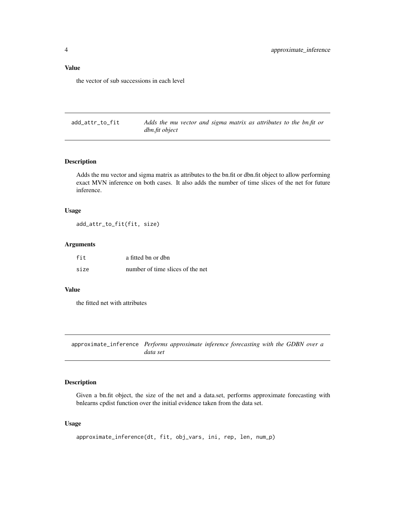### <span id="page-3-0"></span>Value

the vector of sub successions in each level

add\_attr\_to\_fit *Adds the mu vector and sigma matrix as attributes to the bn.fit or dbn.fit object*

### Description

Adds the mu vector and sigma matrix as attributes to the bn.fit or dbn.fit object to allow performing exact MVN inference on both cases. It also adds the number of time slices of the net for future inference.

#### Usage

add\_attr\_to\_fit(fit, size)

### Arguments

| fit  | a fitted bn or dbn               |
|------|----------------------------------|
| size | number of time slices of the net |

#### Value

the fitted net with attributes

approximate\_inference *Performs approximate inference forecasting with the GDBN over a data set*

#### Description

Given a bn.fit object, the size of the net and a data.set, performs approximate forecasting with bnlearns cpdist function over the initial evidence taken from the data set.

#### Usage

```
approximate_inference(dt, fit, obj_vars, ini, rep, len, num_p)
```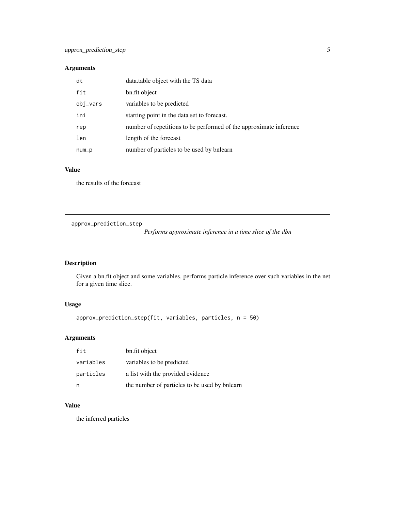### <span id="page-4-0"></span>Arguments

| dt       | data.table object with the TS data                                 |
|----------|--------------------------------------------------------------------|
| fit      | bn.fit object                                                      |
| obj_vars | variables to be predicted                                          |
| ini      | starting point in the data set to forecast.                        |
| rep      | number of repetitions to be performed of the approximate inference |
| len      | length of the forecast                                             |
| num_p    | number of particles to be used by bnlearn                          |

### Value

the results of the forecast

approx\_prediction\_step

*Performs approximate inference in a time slice of the dbn*

### Description

Given a bn.fit object and some variables, performs particle inference over such variables in the net for a given time slice.

### Usage

```
approx_prediction_step(fit, variables, particles, n = 50)
```
### Arguments

| fit       | bn.fit object                                 |
|-----------|-----------------------------------------------|
| variables | variables to be predicted                     |
| particles | a list with the provided evidence             |
| n         | the number of particles to be used by bnlearn |

### Value

the inferred particles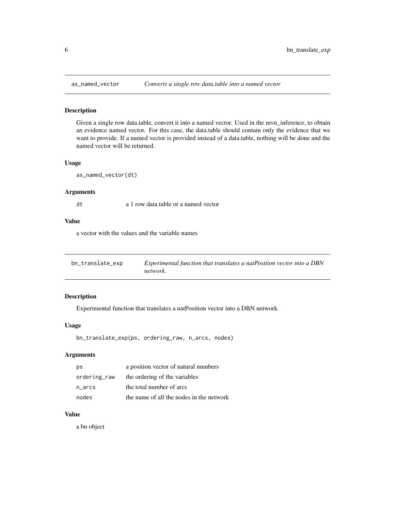Given a single row data.table, convert it into a named vector. Used in the mvn\_inference, to obtain an evidence named vector. For this case, the data.table should contain only the evidence that we want to provide. If a named vector is provided instead of a data.table, nothing will be done and the named vector will be returned.

### Usage

as\_named\_vector(dt)

#### Arguments

dt a 1 row data.table or a named vector

#### Value

a vector with the values and the variable names

| bn_translate_exp | Experimental function that translates a natPosition vector into a DBN |
|------------------|-----------------------------------------------------------------------|
|                  | network.                                                              |

#### Description

Experimental function that translates a natPosition vector into a DBN network.

#### Usage

bn\_translate\_exp(ps, ordering\_raw, n\_arcs, nodes)

### Arguments

| ps           | a position vector of natural numbers     |
|--------------|------------------------------------------|
| ordering_raw | the ordering of the variables            |
| n arcs       | the total number of arcs                 |
| nodes        | the name of all the nodes in the network |

### Value

a bn object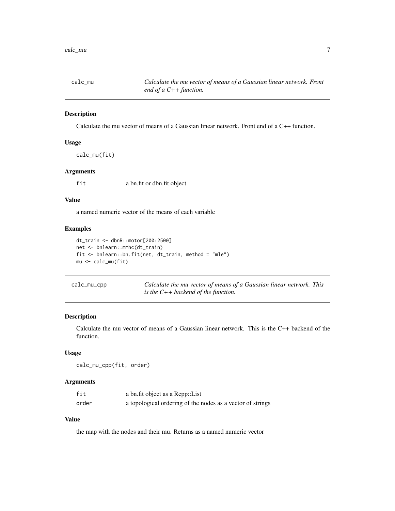<span id="page-6-0"></span>

Calculate the mu vector of means of a Gaussian linear network. Front end of a C++ function.

### Usage

calc\_mu(fit)

### Arguments

fit a bn.fit or dbn.fit object

### Value

a named numeric vector of the means of each variable

### Examples

```
dt_train <- dbnR::motor[200:2500]
net <- bnlearn::mmhc(dt_train)
fit <- bnlearn::bn.fit(net, dt_train, method = "mle")
mu <- calc_mu(fit)
```

| calc_mu_cpp | Calculate the mu vector of means of a Gaussian linear network. This |
|-------------|---------------------------------------------------------------------|
|             | is the $C++$ backend of the function.                               |

### Description

Calculate the mu vector of means of a Gaussian linear network. This is the C++ backend of the function.

#### Usage

```
calc_mu_cpp(fit, order)
```
#### Arguments

| fit   | a bn.fit object as a Repp::List                            |
|-------|------------------------------------------------------------|
| order | a topological ordering of the nodes as a vector of strings |

### Value

the map with the nodes and their mu. Returns as a named numeric vector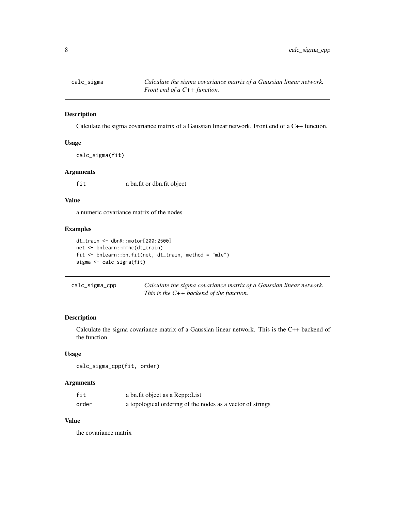<span id="page-7-0"></span>

Calculate the sigma covariance matrix of a Gaussian linear network. Front end of a C++ function.

### Usage

calc\_sigma(fit)

### Arguments

fit a bn.fit or dbn.fit object

#### Value

a numeric covariance matrix of the nodes

### Examples

```
dt_train <- dbnR::motor[200:2500]
net <- bnlearn::mmhc(dt_train)
fit <- bnlearn::bn.fit(net, dt_train, method = "mle")
sigma <- calc_sigma(fit)
```

| calc_sigma_cpp | Calculate the sigma covariance matrix of a Gaussian linear network. |
|----------------|---------------------------------------------------------------------|
|                | This is the $C++$ backend of the function.                          |

### Description

Calculate the sigma covariance matrix of a Gaussian linear network. This is the C++ backend of the function.

### Usage

```
calc_sigma_cpp(fit, order)
```
#### Arguments

| fit   | a bn.fit object as a Repp::List                            |
|-------|------------------------------------------------------------|
| order | a topological ordering of the nodes as a vector of strings |

#### Value

the covariance matrix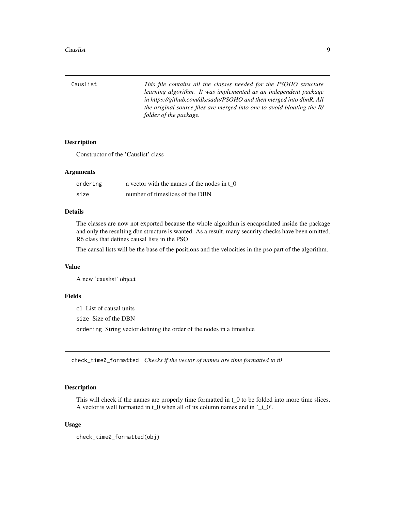<span id="page-8-0"></span>Causlist *This file contains all the classes needed for the PSOHO structure learning algorithm. It was implemented as an independent package in https://github.com/dkesada/PSOHO and then merged into dbnR. All the original source files are merged into one to avoid bloating the R/ folder of the package.*

### Description

Constructor of the 'Causlist' class

#### Arguments

| ordering | a vector with the names of the nodes in t 0 |
|----------|---------------------------------------------|
| size     | number of timeslices of the DBN             |

#### Details

The classes are now not exported because the whole algorithm is encapsulated inside the package and only the resulting dbn structure is wanted. As a result, many security checks have been omitted. R6 class that defines causal lists in the PSO

The causal lists will be the base of the positions and the velocities in the pso part of the algorithm.

#### Value

A new 'causlist' object

#### Fields

cl List of causal units

size Size of the DBN

ordering String vector defining the order of the nodes in a timeslice

check\_time0\_formatted *Checks if the vector of names are time formatted to t0*

#### Description

This will check if the names are properly time formatted in t\_0 to be folded into more time slices. A vector is well formatted in  $t_0$  when all of its column names end in  $'t_0$ .

#### Usage

```
check_time0_formatted(obj)
```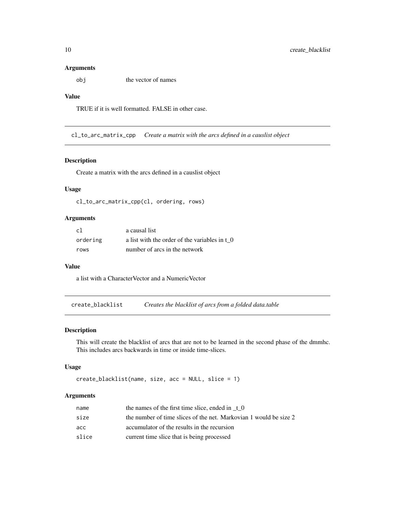#### <span id="page-9-0"></span>Arguments

obj the vector of names

### Value

TRUE if it is well formatted. FALSE in other case.

cl\_to\_arc\_matrix\_cpp *Create a matrix with the arcs defined in a causlist object*

#### Description

Create a matrix with the arcs defined in a causlist object

### Usage

cl\_to\_arc\_matrix\_cpp(cl, ordering, rows)

### Arguments

| -c1      | a causal list                                 |
|----------|-----------------------------------------------|
| ordering | a list with the order of the variables in t 0 |
| rows     | number of arcs in the network                 |

#### Value

a list with a CharacterVector and a NumericVector

create\_blacklist *Creates the blacklist of arcs from a folded data.table*

#### Description

This will create the blacklist of arcs that are not to be learned in the second phase of the dmmhc. This includes arcs backwards in time or inside time-slices.

#### Usage

```
create_blacklist(name, size, acc = NULL, slice = 1)
```
### Arguments

| name  | the names of the first time slice, ended in $\tau$ 0              |
|-------|-------------------------------------------------------------------|
| size  | the number of time slices of the net. Markovian 1 would be size 2 |
| асс   | accumulator of the results in the recursion                       |
| slice | current time slice that is being processed                        |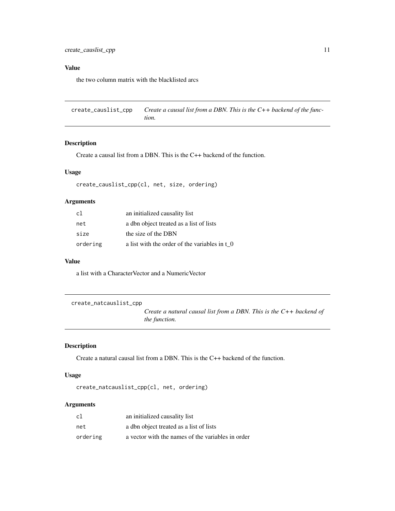### <span id="page-10-0"></span>Value

the two column matrix with the blacklisted arcs

create\_causlist\_cpp *Create a causal list from a DBN. This is the C++ backend of the function.*

### Description

Create a causal list from a DBN. This is the C++ backend of the function.

#### Usage

create\_causlist\_cpp(cl, net, size, ordering)

### Arguments

| c1       | an initialized causality list                      |
|----------|----------------------------------------------------|
| net      | a dbn object treated as a list of lists            |
| size     | the size of the DBN                                |
| ordering | a list with the order of the variables in $\tau$ 0 |

#### Value

a list with a CharacterVector and a NumericVector

create\_natcauslist\_cpp

*Create a natural causal list from a DBN. This is the C++ backend of the function.*

#### Description

Create a natural causal list from a DBN. This is the C++ backend of the function.

#### Usage

create\_natcauslist\_cpp(cl, net, ordering)

### Arguments

| c1       | an initialized causality list                     |
|----------|---------------------------------------------------|
| net      | a dbn object treated as a list of lists           |
| ordering | a vector with the names of the variables in order |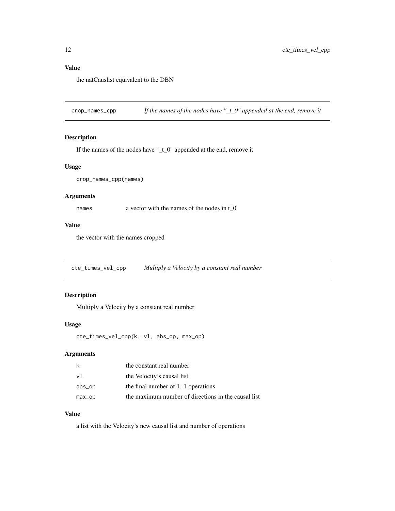### <span id="page-11-0"></span>Value

the natCauslist equivalent to the DBN

crop\_names\_cpp *If the names of the nodes have "\_t\_0" appended at the end, remove it*

### Description

If the names of the nodes have "\_t\_0" appended at the end, remove it

#### Usage

```
crop_names_cpp(names)
```
### Arguments

names a vector with the names of the nodes in t\_0

#### Value

the vector with the names cropped

cte\_times\_vel\_cpp *Multiply a Velocity by a constant real number*

### Description

Multiply a Velocity by a constant real number

#### Usage

```
cte_times_vel_cpp(k, vl, abs_op, max_op)
```
### Arguments

| k         | the constant real number                            |
|-----------|-----------------------------------------------------|
| v1        | the Velocity's causal list                          |
| $abs\_op$ | the final number of 1,-1 operations                 |
| $max_op$  | the maximum number of directions in the causal list |

### Value

a list with the Velocity's new causal list and number of operations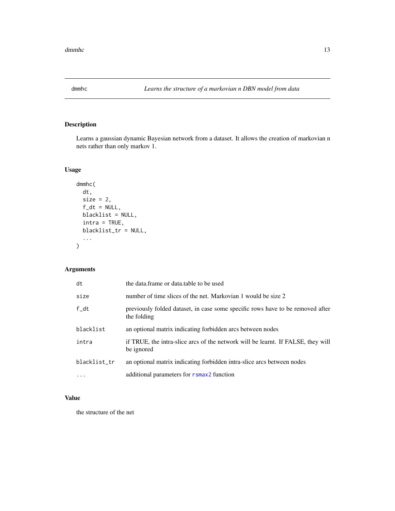<span id="page-12-0"></span>

Learns a gaussian dynamic Bayesian network from a dataset. It allows the creation of markovian n nets rather than only markov 1.

### Usage

```
dmmhc(
  dt,
  size = 2,f_d t = NULL,blacklist = NULL,
  intra = TRUE,
 blacklist_tr = NULL,
  ...
)
```
### Arguments

| dt           | the data.frame or data.table to be used                                                        |
|--------------|------------------------------------------------------------------------------------------------|
| size         | number of time slices of the net. Markovian 1 would be size 2                                  |
| $f$ _dt      | previously folded dataset, in case some specific rows have to be removed after<br>the folding  |
| blacklist    | an optional matrix indicating forbidden arcs between nodes                                     |
| intra        | if TRUE, the intra-slice arcs of the network will be learnt. If FALSE, they will<br>be ignored |
| blacklist_tr | an optional matrix indicating forbidden intra-slice arcs between nodes                         |
| $\cdots$     | additional parameters for rsmax2 function                                                      |

### Value

the structure of the net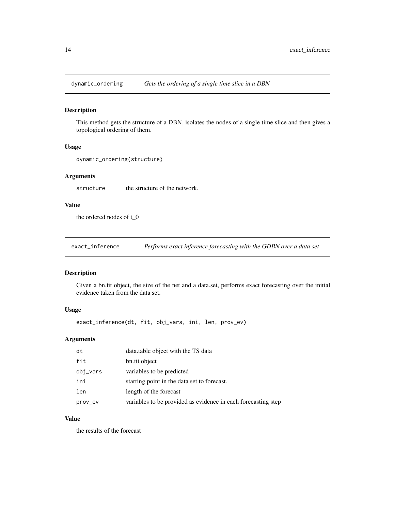<span id="page-13-0"></span>

This method gets the structure of a DBN, isolates the nodes of a single time slice and then gives a topological ordering of them.

#### Usage

dynamic\_ordering(structure)

### Arguments

structure the structure of the network.

### Value

the ordered nodes of t\_0

exact\_inference *Performs exact inference forecasting with the GDBN over a data set*

### Description

Given a bn.fit object, the size of the net and a data.set, performs exact forecasting over the initial evidence taken from the data set.

#### Usage

exact\_inference(dt, fit, obj\_vars, ini, len, prov\_ev)

### Arguments

| dt       | data.table object with the TS data                            |
|----------|---------------------------------------------------------------|
| fit      | bn.fit object                                                 |
| obj_vars | variables to be predicted                                     |
| ini      | starting point in the data set to forecast.                   |
| len      | length of the forecast                                        |
| prov_ev  | variables to be provided as evidence in each forecasting step |

### Value

the results of the forecast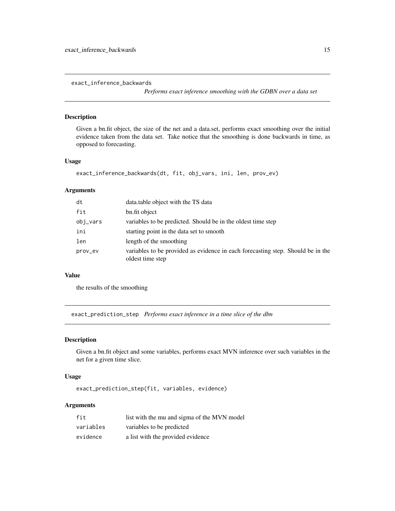<span id="page-14-0"></span>exact\_inference\_backwards

*Performs exact inference smoothing with the GDBN over a data set*

### Description

Given a bn.fit object, the size of the net and a data.set, performs exact smoothing over the initial evidence taken from the data set. Take notice that the smoothing is done backwards in time, as opposed to forecasting.

#### Usage

```
exact_inference_backwards(dt, fit, obj_vars, ini, len, prov_ev)
```
#### Arguments

| dt       | data.table object with the TS data                                                                  |
|----------|-----------------------------------------------------------------------------------------------------|
| fit      | bn.fit object                                                                                       |
| obj_vars | variables to be predicted. Should be in the oldest time step                                        |
| ini      | starting point in the data set to smooth                                                            |
| len      | length of the smoothing                                                                             |
| prov_ev  | variables to be provided as evidence in each forecasting step. Should be in the<br>oldest time step |

#### Value

the results of the smoothing

exact\_prediction\_step *Performs exact inference in a time slice of the dbn*

#### Description

Given a bn.fit object and some variables, performs exact MVN inference over such variables in the net for a given time slice.

#### Usage

```
exact_prediction_step(fit, variables, evidence)
```
### Arguments

| fit       | list with the mu and sigma of the MVN model |
|-----------|---------------------------------------------|
| variables | variables to be predicted                   |
| evidence  | a list with the provided evidence           |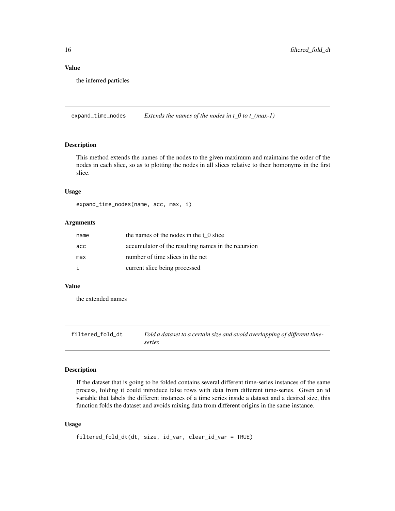#### <span id="page-15-0"></span>Value

the inferred particles

expand\_time\_nodes *Extends the names of the nodes in t\_0 to t\_(max-1)*

### Description

This method extends the names of the nodes to the given maximum and maintains the order of the nodes in each slice, so as to plotting the nodes in all slices relative to their homonyms in the first slice.

#### Usage

expand\_time\_nodes(name, acc, max, i)

### Arguments

| name | the names of the nodes in the t 0 slice             |
|------|-----------------------------------------------------|
| acc  | accumulator of the resulting names in the recursion |
| max  | number of time slices in the net                    |
|      | current slice being processed                       |

#### Value

the extended names

filtered\_fold\_dt *Fold a dataset to a certain size and avoid overlapping of different timeseries*

#### Description

If the dataset that is going to be folded contains several different time-series instances of the same process, folding it could introduce false rows with data from different time-series. Given an id variable that labels the different instances of a time series inside a dataset and a desired size, this function folds the dataset and avoids mixing data from different origins in the same instance.

#### Usage

```
filtered_fold_dt(dt, size, id_var, clear_id_var = TRUE)
```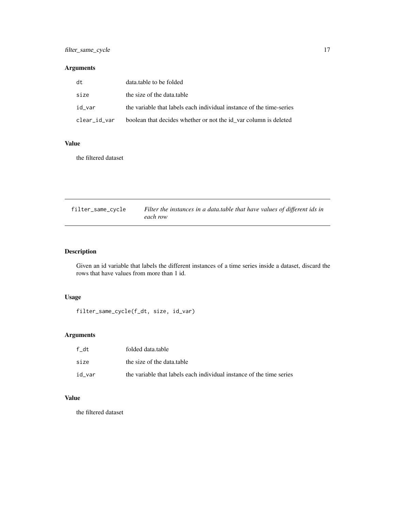### <span id="page-16-0"></span>filter\_same\_cycle 17

### Arguments

| dt           | data.table to be folded                                              |
|--------------|----------------------------------------------------------------------|
| size         | the size of the data.table                                           |
| id var       | the variable that labels each individual instance of the time-series |
| clear_id_var | boolean that decides whether or not the id var column is deleted     |

### Value

the filtered dataset

| filter_same_cycle | Filter the instances in a data table that have values of different ids in |
|-------------------|---------------------------------------------------------------------------|
|                   | each row                                                                  |

### Description

Given an id variable that labels the different instances of a time series inside a dataset, discard the rows that have values from more than 1 id.

### Usage

filter\_same\_cycle(f\_dt, size, id\_var)

### Arguments

| f dt   | folded data.table                                                    |
|--------|----------------------------------------------------------------------|
| size   | the size of the data table                                           |
| id var | the variable that labels each individual instance of the time series |

## Value

the filtered dataset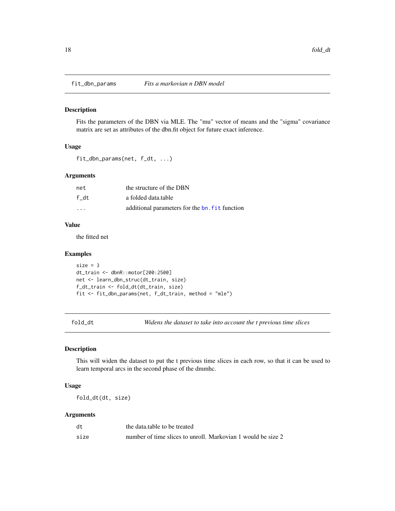<span id="page-17-0"></span>

Fits the parameters of the DBN via MLE. The "mu" vector of means and the "sigma" covariance matrix are set as attributes of the dbn.fit object for future exact inference.

#### Usage

```
fit_dbn_params(net, f_dt, ...)
```
#### Arguments

| net  | the structure of the DBN                       |
|------|------------------------------------------------|
| f dt | a folded data.table                            |
| .    | additional parameters for the bn. fit function |

### Value

the fitted net

#### Examples

```
size = 3dt_train <- dbnR::motor[200:2500]
net <- learn_dbn_struc(dt_train, size)
f_dt_train <- fold_dt(dt_train, size)
fit <- fit_dbn_params(net, f_dt_train, method = "mle")
```
fold\_dt *Widens the dataset to take into account the t previous time slices*

### Description

This will widen the dataset to put the t previous time slices in each row, so that it can be used to learn temporal arcs in the second phase of the dmmhc.

#### Usage

fold\_dt(dt, size)

### Arguments

| dt   | the data, table to be treated                                |
|------|--------------------------------------------------------------|
| size | number of time slices to unroll. Markovian 1 would be size 2 |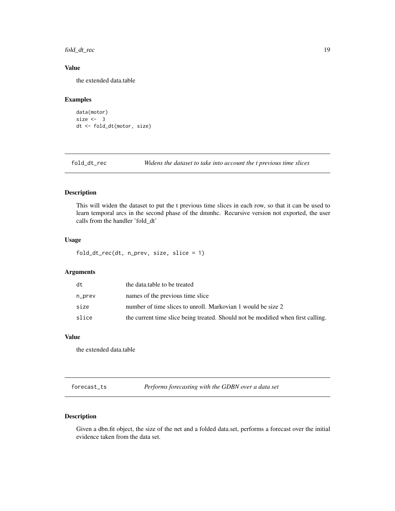<span id="page-18-0"></span>fold\_dt\_rec 19

### Value

the extended data.table

### Examples

```
data(motor)
size <-3dt <- fold_dt(motor, size)
```
fold\_dt\_rec *Widens the dataset to take into account the t previous time slices*

#### Description

This will widen the dataset to put the t previous time slices in each row, so that it can be used to learn temporal arcs in the second phase of the dmmhc. Recursive version not exported, the user calls from the handler 'fold\_dt'

#### Usage

fold\_dt\_rec(dt, n\_prev, size, slice = 1)

#### Arguments

| dt     | the data table to be treated                                                     |
|--------|----------------------------------------------------------------------------------|
| n_prev | names of the previous time slice                                                 |
| size   | number of time slices to unroll. Markovian 1 would be size 2                     |
| slice  | the current time slice being treated. Should not be modified when first calling. |

### Value

the extended data.table

forecast\_ts *Performs forecasting with the GDBN over a data set*

### Description

Given a dbn.fit object, the size of the net and a folded data.set, performs a forecast over the initial evidence taken from the data set.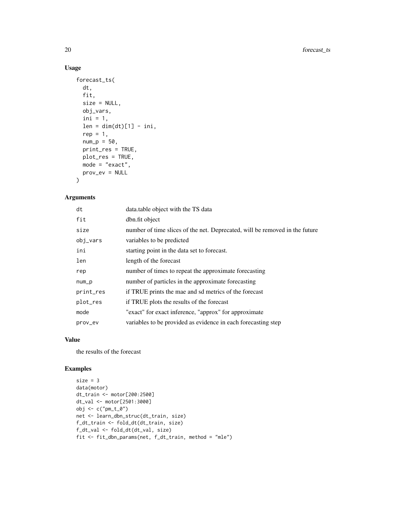### Usage

```
forecast_ts(
 dt,
  fit,
 size = NULL,
 obj_vars,
 ini = 1,len = dim(dt)[1] - ini,rep = 1,
 num_p = 50,
 print_res = TRUE,
 plot_res = TRUE,
 mode = "exact",prov_ev = NULL
)
```
### Arguments

| dt        | data.table object with the TS data                                          |
|-----------|-----------------------------------------------------------------------------|
| fit       | dbn.fit object                                                              |
| size      | number of time slices of the net. Deprecated, will be removed in the future |
| obj_vars  | variables to be predicted                                                   |
| ini       | starting point in the data set to forecast.                                 |
| len       | length of the forecast                                                      |
| rep       | number of times to repeat the approximate forecasting                       |
| $num_p$   | number of particles in the approximate forecasting                          |
| print_res | if TRUE prints the mae and sd metrics of the forecast                       |
| plot_res  | if TRUE plots the results of the forecast                                   |
| mode      | "exact" for exact inference, "approx" for approximate                       |
| prov_ev   | variables to be provided as evidence in each forecasting step               |

### Value

the results of the forecast

### Examples

```
size = 3data(motor)
dt_train <- motor[200:2500]
dt_val <- motor[2501:3000]
obj <- c("pm_t_0")
net <- learn_dbn_struc(dt_train, size)
f_dt_train <- fold_dt(dt_train, size)
f_dt_val <- fold_dt(dt_val, size)
fit <- fit_dbn_params(net, f_dt_train, method = "mle")
```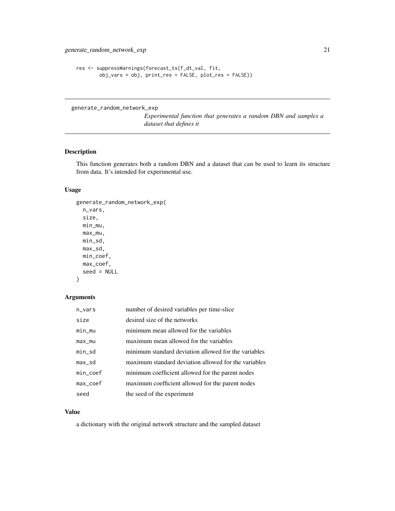```
res <- suppressWarnings(forecast_ts(f_dt_val, fit,
       obj_vars = obj, print_res = FALSE, plot_res = FALSE))
```
generate\_random\_network\_exp

*Experimental function that generates a random DBN and samples a dataset that defines it*

#### Description

This function generates both a random DBN and a dataset that can be used to learn its structure from data. It's intended for experimental use.

### Usage

```
generate_random_network_exp(
 n_vars,
  size,
 min_mu,
 max_mu,
 min_sd,
 max_sd,
 min_coef,
 max_coef,
  seed = NULL
```

```
)
```
### Arguments

| $n_vars$     | number of desired variables per time-slice           |
|--------------|------------------------------------------------------|
| size         | desired size of the networks                         |
| min_mu       | minimum mean allowed for the variables               |
| $max_m$      | maximum mean allowed for the variables               |
| min_sd       | minimum standard deviation allowed for the variables |
| max_sd       | maximum standard deviation allowed for the variables |
| $min\_coeff$ | minimum coefficient allowed for the parent nodes     |
| max_coef     | maximum coefficient allowed for the parent nodes     |
| seed         | the seed of the experiment                           |

### Value

a dictionary with the original network structure and the sampled dataset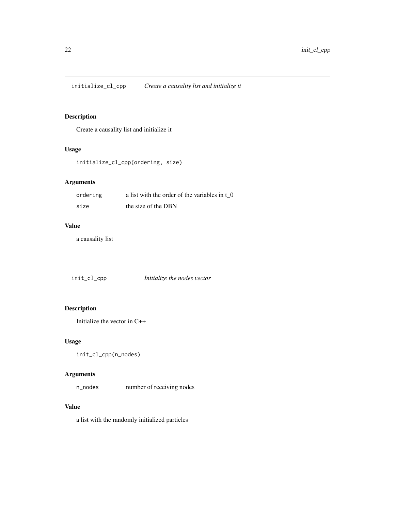<span id="page-21-0"></span>initialize\_cl\_cpp *Create a causality list and initialize it*

### Description

Create a causality list and initialize it

#### Usage

initialize\_cl\_cpp(ordering, size)

### Arguments

| ordering | a list with the order of the variables in t 0 |
|----------|-----------------------------------------------|
| size     | the size of the DBN                           |

#### Value

a causality list

init\_cl\_cpp *Initialize the nodes vector*

## Description

Initialize the vector in C++

### Usage

```
init_cl_cpp(n_nodes)
```
### Arguments

n\_nodes number of receiving nodes

#### Value

a list with the randomly initialized particles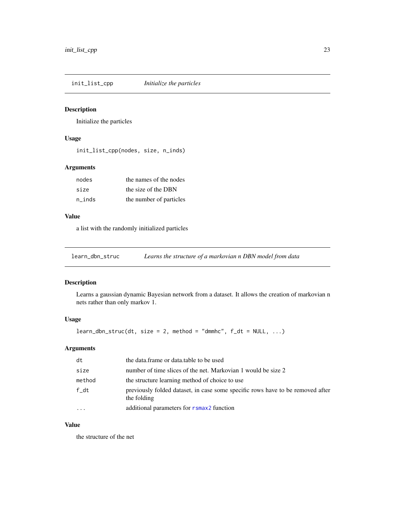<span id="page-22-0"></span>init\_list\_cpp *Initialize the particles*

### Description

Initialize the particles

### Usage

init\_list\_cpp(nodes, size, n\_inds)

### Arguments

| nodes  | the names of the nodes  |
|--------|-------------------------|
| size   | the size of the DBN     |
| n inds | the number of particles |

### Value

a list with the randomly initialized particles

learn\_dbn\_struc *Learns the structure of a markovian n DBN model from data*

### Description

Learns a gaussian dynamic Bayesian network from a dataset. It allows the creation of markovian n nets rather than only markov 1.

### Usage

 $learn_dbn\_struc(dt, size = 2, method = "dmmhc", f_dt = NULL, ...)$ 

### Arguments

| dt     | the data.frame or data.table to be used                                                       |
|--------|-----------------------------------------------------------------------------------------------|
| size   | number of time slices of the net. Markovian 1 would be size 2                                 |
| method | the structure learning method of choice to use                                                |
| f_dt   | previously folded dataset, in case some specific rows have to be removed after<br>the folding |
|        | additional parameters for rsmax2 function                                                     |

### Value

the structure of the net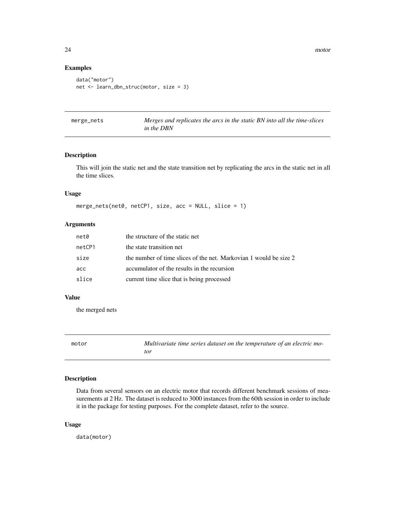### Examples

```
data("motor")
net <- learn_dbn_struc(motor, size = 3)
```

| merge_nets |  |
|------------|--|
|------------|--|

Merges and replicates the arcs in the static BN into all the time-slices *in the DBN*

#### Description

This will join the static net and the state transition net by replicating the arcs in the static net in all the time slices.

#### Usage

merge\_nets(net0, netCP1, size, acc = NULL, slice = 1)

### Arguments

| net0   | the structure of the static net                                   |
|--------|-------------------------------------------------------------------|
| netCP1 | the state transition net                                          |
| size   | the number of time slices of the net. Markovian 1 would be size 2 |
| acc    | accumulator of the results in the recursion                       |
| slice  | current time slice that is being processed                        |

#### Value

the merged nets

| motor | Multivariate time series dataset on the temperature of an electric mo- |
|-------|------------------------------------------------------------------------|
|       | tor                                                                    |

### Description

Data from several sensors on an electric motor that records different benchmark sessions of measurements at 2 Hz. The dataset is reduced to 3000 instances from the 60th session in order to include it in the package for testing purposes. For the complete dataset, refer to the source.

#### Usage

data(motor)

<span id="page-23-0"></span>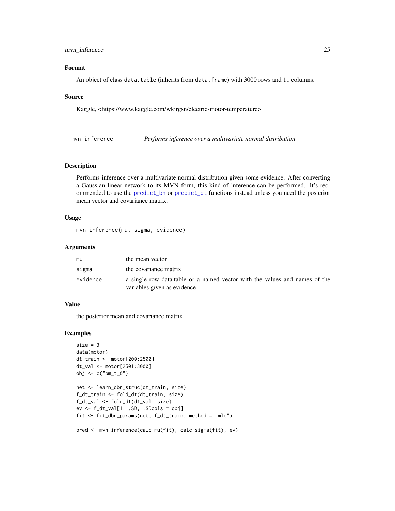#### <span id="page-24-0"></span>mvn\_inference 25

### Format

An object of class data.table (inherits from data.frame) with 3000 rows and 11 columns.

#### Source

Kaggle, <https://www.kaggle.com/wkirgsn/electric-motor-temperature>

mvn\_inference *Performs inference over a multivariate normal distribution*

#### Description

Performs inference over a multivariate normal distribution given some evidence. After converting a Gaussian linear network to its MVN form, this kind of inference can be performed. It's recommended to use the [predict\\_bn](#page-42-1) or [predict\\_dt](#page-43-1) functions instead unless you need the posterior mean vector and covariance matrix.

#### Usage

mvn\_inference(mu, sigma, evidence)

#### Arguments

| mu       | the mean vector                                                                                           |
|----------|-----------------------------------------------------------------------------------------------------------|
| sigma    | the covariance matrix                                                                                     |
| evidence | a single row data table or a named vector with the values and names of the<br>variables given as evidence |

### Value

the posterior mean and covariance matrix

#### Examples

```
size = 3data(motor)
dt_train <- motor[200:2500]
dt_val <- motor[2501:3000]
obj \leftarrow c("pm_t_0")net <- learn_dbn_struc(dt_train, size)
f_dt_train <- fold_dt(dt_train, size)
f_dt_val <- fold_dt(dt_val, size)
ev \leftarrow f_d t\_val[1, .SD, .SDCols = obj]fit <- fit_dbn_params(net, f_dt_train, method = "mle")
pred <- mvn_inference(calc_mu(fit), calc_sigma(fit), ev)
```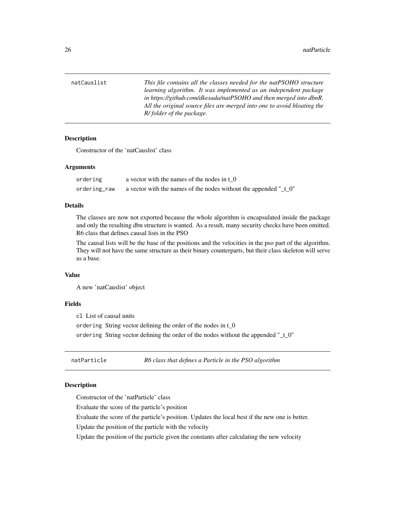<span id="page-25-0"></span>natCauslist *This file contains all the classes needed for the natPSOHO structure learning algorithm. It was implemented as an independent package in https://github.com/dkesada/natPSOHO and then merged into dbnR. All the original source files are merged into one to avoid bloating the R/ folder of the package.*

### **Description**

Constructor of the 'natCauslist' class

#### Arguments

| ordering     | a vector with the names of the nodes in t 0                          |
|--------------|----------------------------------------------------------------------|
| ordering_raw | a vector with the names of the nodes without the appended " $_t_0$ " |

### Details

The classes are now not exported because the whole algorithm is encapsulated inside the package and only the resulting dbn structure is wanted. As a result, many security checks have been omitted. R6 class that defines causal lists in the PSO

The causal lists will be the base of the positions and the velocities in the pso part of the algorithm. They will not have the same structure as their binary counterparts, but their class skeleton will serve as a base.

#### Value

A new 'natCauslist' object

#### Fields

cl List of causal units

ordering String vector defining the order of the nodes in t\_0

ordering String vector defining the order of the nodes without the appended "\_t\_0"

natParticle *R6 class that defines a Particle in the PSO algorithm*

#### **Description**

Constructor of the 'natParticle' class

Evaluate the score of the particle's position

Evaluate the score of the particle's position. Updates the local best if the new one is better.

Update the position of the particle with the velocity

Update the position of the particle given the constants after calculating the new velocity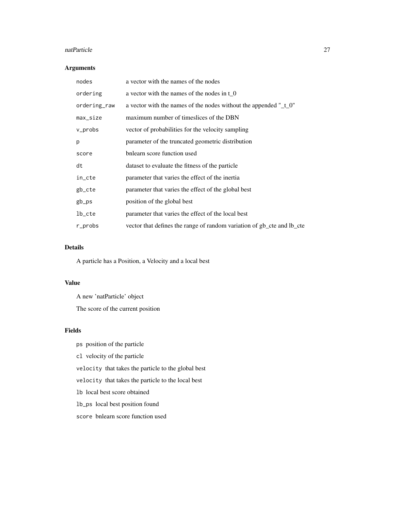#### natParticle 27

### Arguments

| nodes        | a vector with the names of the nodes                                      |
|--------------|---------------------------------------------------------------------------|
| ordering     | a vector with the names of the nodes in t 0                               |
| ordering_raw | a vector with the names of the nodes without the appended " $_t$ - $_0$ " |
| max_size     | maximum number of timeslices of the DBN                                   |
| v_probs      | vector of probabilities for the velocity sampling                         |
| p            | parameter of the truncated geometric distribution                         |
| score        | bnlearn score function used                                               |
| dt           | dataset to evaluate the fitness of the particle                           |
| in_cte       | parameter that varies the effect of the inertia                           |
| gb_cte       | parameter that varies the effect of the global best                       |
| gb_ps        | position of the global best                                               |
| lb_cte       | parameter that varies the effect of the local best                        |
| r_probs      | vector that defines the range of random variation of gb_cte and lb_cte    |

### Details

A particle has a Position, a Velocity and a local best

### Value

A new 'natParticle' object The score of the current position

### Fields

- ps position of the particle
- cl velocity of the particle
- velocity that takes the particle to the global best
- velocity that takes the particle to the local best
- lb local best score obtained
- lb\_ps local best position found
- score bnlearn score function used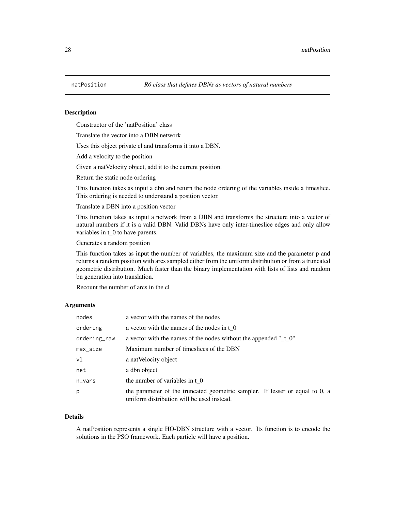<span id="page-27-0"></span>

Constructor of the 'natPosition' class

Translate the vector into a DBN network

Uses this object private cl and transforms it into a DBN.

Add a velocity to the position

Given a natVelocity object, add it to the current position.

Return the static node ordering

This function takes as input a dbn and return the node ordering of the variables inside a timeslice. This ordering is needed to understand a position vector.

Translate a DBN into a position vector

This function takes as input a network from a DBN and transforms the structure into a vector of natural numbers if it is a valid DBN. Valid DBNs have only inter-timeslice edges and only allow variables in t\_0 to have parents.

Generates a random position

This function takes as input the number of variables, the maximum size and the parameter p and returns a random position with arcs sampled either from the uniform distribution or from a truncated geometric distribution. Much faster than the binary implementation with lists of lists and random bn generation into translation.

Recount the number of arcs in the cl

#### Arguments

| nodes        | a vector with the names of the nodes                                                                                       |
|--------------|----------------------------------------------------------------------------------------------------------------------------|
| ordering     | a vector with the names of the nodes in $\tau$ 0                                                                           |
| ordering_raw | a vector with the names of the nodes without the appended " $_t$ - $_0$ "                                                  |
| $max_size$   | Maximum number of timeslices of the DBN                                                                                    |
| v1           | a natVelocity object                                                                                                       |
| net          | a dbn object                                                                                                               |
| $n_vars$     | the number of variables in t 0                                                                                             |
| p            | the parameter of the truncated geometric sampler. If lesser or equal to 0, a<br>uniform distribution will be used instead. |

#### Details

A natPosition represents a single HO-DBN structure with a vector. Its function is to encode the solutions in the PSO framework. Each particle will have a position.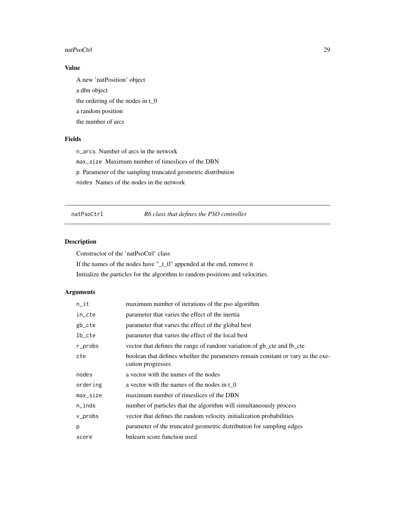#### <span id="page-28-0"></span>natPsoCtrl 29

### Value

A new 'natPosition' object a dbn object the ordering of the nodes in t\_0 a random position the number of arcs

### Fields

n\_arcs Number of arcs in the network max\_size Maximum number of timeslices of the DBN p Parameter of the sampling truncated geometric distribution nodes Names of the nodes in the network

### natPsoCtrl *R6 class that defines the PSO controller*

### Description

Constructor of the 'natPsoCtrl' class If the names of the nodes have "\_t\_0" appended at the end, remove it Initialize the particles for the algorithm to random positions and velocities.

### Arguments

| $n$ _it   | maximum number of iterations of the pso algorithm                                                    |
|-----------|------------------------------------------------------------------------------------------------------|
| in_cte    | parameter that varies the effect of the inertia                                                      |
| gb_cte    | parameter that varies the effect of the global best                                                  |
| lb_cte    | parameter that varies the effect of the local best                                                   |
| r_probs   | vector that defines the range of random variation of gb_cte and lb_cte                               |
| cte       | boolean that defines whether the parameters remain constant or vary as the exe-<br>cution progresses |
| nodes     | a vector with the names of the nodes                                                                 |
| ordering  | a vector with the names of the nodes in $t_0$                                                        |
| max_size  | maximum number of timeslices of the DBN                                                              |
| $n$ _inds | number of particles that the algorithm will simultaneously process                                   |
| v_probs   | vector that defines the random velocity initialization probabilities                                 |
| p         | parameter of the truncated geometric distribution for sampling edges                                 |
| score     | bnlearn score function used                                                                          |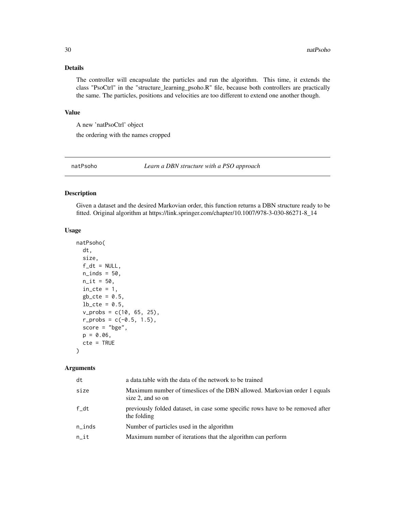### <span id="page-29-0"></span>Details

The controller will encapsulate the particles and run the algorithm. This time, it extends the class "PsoCtrl" in the "structure\_learning\_psoho.R" file, because both controllers are practically the same. The particles, positions and velocities are too different to extend one another though.

#### Value

A new 'natPsoCtrl' object

the ordering with the names cropped

natPsoho *Learn a DBN structure with a PSO approach*

#### Description

Given a dataset and the desired Markovian order, this function returns a DBN structure ready to be fitted. Original algorithm at https://link.springer.com/chapter/10.1007/978-3-030-86271-8\_14

#### Usage

```
natPsoho(
  dt,
  size,
  f_d t = NULL,n\_inds = 50,
  n_{i} = 50,
  in\_cte = 1,
  gb_{\text{c}}cte = 0.5,
  lb\_cte = 0.5,
  v_{\text{probs}} = c(10, 65, 25),
  r_{\text{probs}} = c(-0.5, 1.5),
  score = "bge",
  p = 0.06,
  cte = TRUE
)
```
#### Arguments

| dt        | a data table with the data of the network to be trained                                        |
|-----------|------------------------------------------------------------------------------------------------|
| size      | Maximum number of timeslices of the DBN allowed. Markovian order 1 equals<br>size 2, and so on |
| f/dt      | previously folded dataset, in case some specific rows have to be removed after<br>the folding  |
| $n$ _inds | Number of particles used in the algorithm                                                      |
| n it      | Maximum number of iterations that the algorithm can perform                                    |
|           |                                                                                                |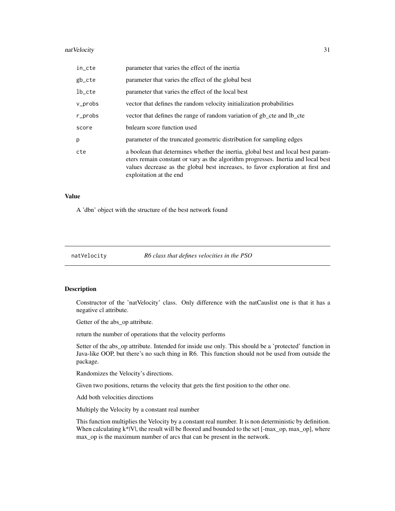#### <span id="page-30-0"></span>natVelocity 31

| in_cte  | parameter that varies the effect of the inertia                                                                                                                                                                                                                                     |
|---------|-------------------------------------------------------------------------------------------------------------------------------------------------------------------------------------------------------------------------------------------------------------------------------------|
| gb_cte  | parameter that varies the effect of the global best                                                                                                                                                                                                                                 |
| lb_cte  | parameter that varies the effect of the local best                                                                                                                                                                                                                                  |
| v_probs | vector that defines the random velocity initialization probabilities                                                                                                                                                                                                                |
| r_probs | vector that defines the range of random variation of gb_cte and lb_cte                                                                                                                                                                                                              |
| score   | bnlearn score function used                                                                                                                                                                                                                                                         |
| р       | parameter of the truncated geometric distribution for sampling edges                                                                                                                                                                                                                |
| cte     | a boolean that determines whether the inertia, global best and local best param-<br>eters remain constant or vary as the algorithm progresses. Inertia and local best<br>values decrease as the global best increases, to favor exploration at first and<br>exploitation at the end |

#### Value

A 'dbn' object with the structure of the best network found

natVelocity *R6 class that defines velocities in the PSO*

#### Description

Constructor of the 'natVelocity' class. Only difference with the natCauslist one is that it has a negative cl attribute.

Getter of the abs\_op attribute.

return the number of operations that the velocity performs

Setter of the abs\_op attribute. Intended for inside use only. This should be a 'protected' function in Java-like OOP, but there's no such thing in R6. This function should not be used from outside the package.

Randomizes the Velocity's directions.

Given two positions, returns the velocity that gets the first position to the other one.

Add both velocities directions

Multiply the Velocity by a constant real number

This function multiplies the Velocity by a constant real number. It is non deterministic by definition. When calculating  $k^*|V|$ , the result will be floored and bounded to the set  $[-max\_op, max\_op]$ , where max\_op is the maximum number of arcs that can be present in the network.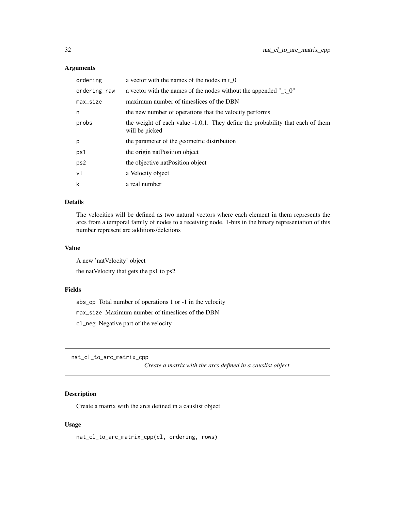### <span id="page-31-0"></span>Arguments

| ordering     | a vector with the names of the nodes in t 0                                                         |
|--------------|-----------------------------------------------------------------------------------------------------|
| ordering_raw | a vector with the names of the nodes without the appended " $_t$ = 0"                               |
| max_size     | maximum number of timeslices of the DBN                                                             |
| n            | the new number of operations that the velocity performs                                             |
| probs        | the weight of each value $-1,0,1$ . They define the probability that each of them<br>will be picked |
| p            | the parameter of the geometric distribution                                                         |
| ps1          | the origin nat Position object                                                                      |
| ps2          | the objective nat Position object                                                                   |
| vl           | a Velocity object                                                                                   |
| k            | a real number                                                                                       |

### Details

The velocities will be defined as two natural vectors where each element in them represents the arcs from a temporal family of nodes to a receiving node. 1-bits in the binary representation of this number represent arc additions/deletions

#### Value

A new 'natVelocity' object the natVelocity that gets the ps1 to ps2

#### Fields

abs\_op Total number of operations 1 or -1 in the velocity max\_size Maximum number of timeslices of the DBN cl\_neg Negative part of the velocity

nat\_cl\_to\_arc\_matrix\_cpp

*Create a matrix with the arcs defined in a causlist object*

### Description

Create a matrix with the arcs defined in a causlist object

#### Usage

nat\_cl\_to\_arc\_matrix\_cpp(cl, ordering, rows)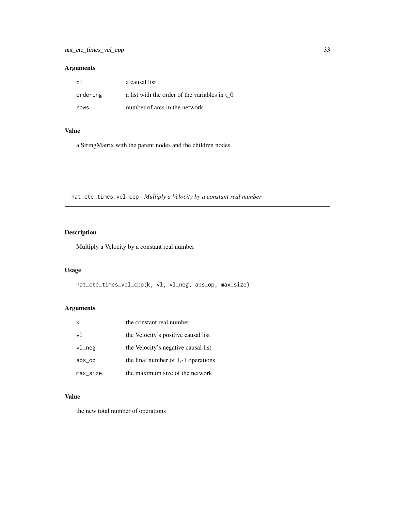### <span id="page-32-0"></span>Arguments

| -c1      | a causal list                                 |
|----------|-----------------------------------------------|
| ordering | a list with the order of the variables in t 0 |
| rows     | number of arcs in the network                 |

### Value

a StringMatrix with the parent nodes and the children nodes

nat\_cte\_times\_vel\_cpp *Multiply a Velocity by a constant real number*

### Description

Multiply a Velocity by a constant real number

### Usage

nat\_cte\_times\_vel\_cpp(k, vl, vl\_neg, abs\_op, max\_size)

### Arguments

| k         | the constant real number              |
|-----------|---------------------------------------|
| vl        | the Velocity's positive causal list   |
| $v1$ _neg | the Velocity's negative causal list   |
| abs_op    | the final number of $1,-1$ operations |
| max_size  | the maximum size of the network       |

### Value

the new total number of operations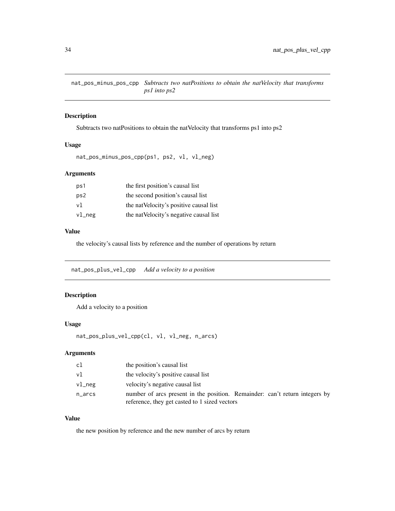<span id="page-33-0"></span>nat\_pos\_minus\_pos\_cpp *Subtracts two natPositions to obtain the natVelocity that transforms ps1 into ps2*

### Description

Subtracts two natPositions to obtain the natVelocity that transforms ps1 into ps2

### Usage

```
nat_pos_minus_pos_cpp(ps1, ps2, vl, vl_neg)
```
### Arguments

| ps1    | the first position's causal list        |
|--------|-----------------------------------------|
| ps2    | the second position's causal list       |
| v1     | the nat Velocity's positive causal list |
| vl_neg | the nat Velocity's negative causal list |

#### Value

the velocity's causal lists by reference and the number of operations by return

nat\_pos\_plus\_vel\_cpp *Add a velocity to a position*

### Description

Add a velocity to a position

### Usage

```
nat_pos_plus_vel_cpp(cl, vl, vl_neg, n_arcs)
```
### Arguments

| cl         | the position's causal list                                                                                                   |
|------------|------------------------------------------------------------------------------------------------------------------------------|
| vl         | the velocity's positive causal list                                                                                          |
| $v1$ neg   | velocity's negative causal list                                                                                              |
| $n_{arcs}$ | number of arcs present in the position. Remainder: can't return integers by<br>reference, they get casted to 1 sized vectors |

### Value

the new position by reference and the new number of arcs by return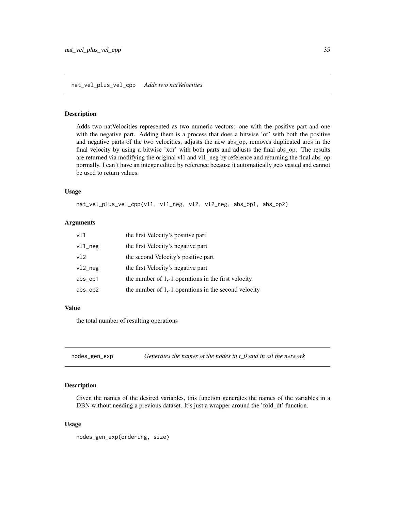#### <span id="page-34-0"></span>nat\_vel\_plus\_vel\_cpp *Adds two natVelocities*

#### **Description**

Adds two natVelocities represented as two numeric vectors: one with the positive part and one with the negative part. Adding them is a process that does a bitwise 'or' with both the positive and negative parts of the two velocities, adjusts the new abs\_op, removes duplicated arcs in the final velocity by using a bitwise 'xor' with both parts and adjusts the final abs\_op. The results are returned via modifying the original vl1 and vl1\_neg by reference and returning the final abs\_op normally. I can't have an integer edited by reference because it automatically gets casted and cannot be used to return values.

### Usage

nat\_vel\_plus\_vel\_cpp(vl1, vl1\_neg, vl2, vl2\_neg, abs\_op1, abs\_op2)

#### Arguments

| v11        | the first Velocity's positive part                    |
|------------|-------------------------------------------------------|
| $v11$ _neg | the first Velocity's negative part                    |
| v12        | the second Velocity's positive part                   |
| $v12$ _neg | the first Velocity's negative part                    |
| abs_op1    | the number of $1,-1$ operations in the first velocity |
| $abs\_op2$ | the number of 1,-1 operations in the second velocity  |

#### Value

the total number of resulting operations

nodes\_gen\_exp *Generates the names of the nodes in t\_0 and in all the network*

### Description

Given the names of the desired variables, this function generates the names of the variables in a DBN without needing a previous dataset. It's just a wrapper around the 'fold\_dt' function.

#### Usage

nodes\_gen\_exp(ordering, size)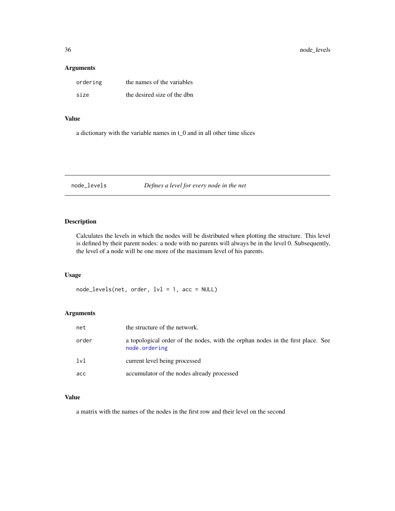#### <span id="page-35-0"></span>Arguments

| ordering | the names of the variables  |
|----------|-----------------------------|
| size     | the desired size of the dbn |

### Value

a dictionary with the variable names in t\_0 and in all other time slices

node\_levels *Defines a level for every node in the net*

### Description

Calculates the levels in which the nodes will be distributed when plotting the structure. This level is defined by their parent nodes: a node with no parents will always be in the level 0. Subsequently, the level of a node will be one more of the maximum level of his parents.

### Usage

node\_levels(net, order, lvl = 1, acc = NULL)

### Arguments

| net   | the structure of the network.                                                                    |
|-------|--------------------------------------------------------------------------------------------------|
| order | a topological order of the nodes, with the orphan nodes in the first place. See<br>node.ordering |
| 1v1   | current level being processed                                                                    |
| acc   | accumulator of the nodes already processed                                                       |

#### Value

a matrix with the names of the nodes in the first row and their level on the second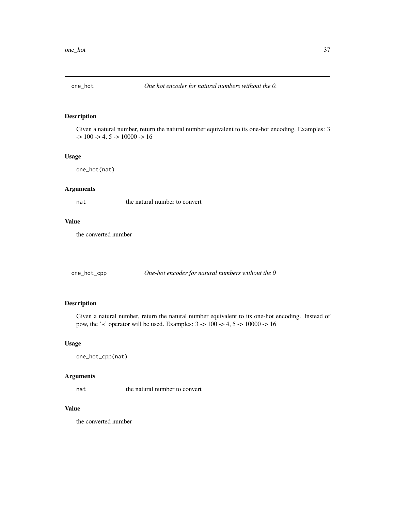<span id="page-36-0"></span>

Given a natural number, return the natural number equivalent to its one-hot encoding. Examples: 3  $-$  > 100  $-$  > 4, 5  $-$  > 10000  $-$  > 16

### Usage

```
one_hot(nat)
```
### Arguments

nat the natural number to convert

#### Value

the converted number

one\_hot\_cpp *One-hot encoder for natural numbers without the 0*

### Description

Given a natural number, return the natural number equivalent to its one-hot encoding. Instead of pow, the '«' operator will be used. Examples: 3 -> 100 -> 4, 5 -> 10000 -> 16

#### Usage

one\_hot\_cpp(nat)

#### Arguments

nat the natural number to convert

#### Value

the converted number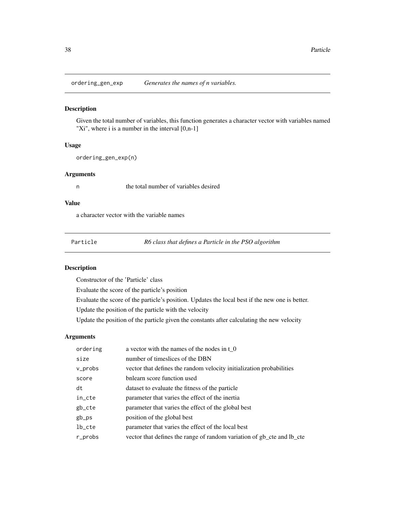<span id="page-37-0"></span>ordering\_gen\_exp *Generates the names of n variables.*

#### Description

Given the total number of variables, this function generates a character vector with variables named "Xi", where i is a number in the interval [0,n-1]

### Usage

ordering\_gen\_exp(n)

### Arguments

n the total number of variables desired

#### Value

a character vector with the variable names

Particle *R6 class that defines a Particle in the PSO algorithm*

### Description

Constructor of the 'Particle' class

Evaluate the score of the particle's position

Evaluate the score of the particle's position. Updates the local best if the new one is better.

Update the position of the particle with the velocity

Update the position of the particle given the constants after calculating the new velocity

#### Arguments

| ordering | a vector with the names of the nodes in $t_0$                          |
|----------|------------------------------------------------------------------------|
| size     | number of timeslices of the DBN                                        |
| v_probs  | vector that defines the random velocity initialization probabilities   |
| score    | bnlearn score function used                                            |
| dt       | dataset to evaluate the fitness of the particle                        |
| in_cte   | parameter that varies the effect of the inertia                        |
| gb_cte   | parameter that varies the effect of the global best                    |
| gb_ps    | position of the global best                                            |
| lb_cte   | parameter that varies the effect of the local best                     |
| r_probs  | vector that defines the range of random variation of gb_cte and lb_cte |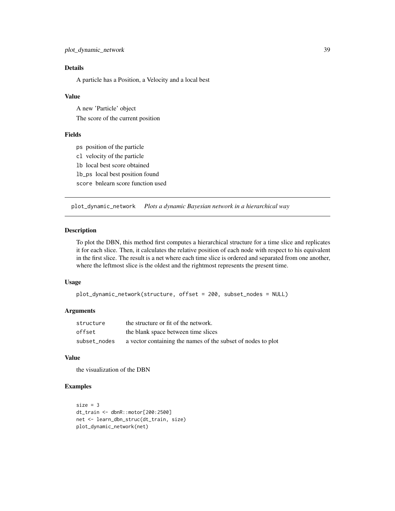### <span id="page-38-0"></span>Details

A particle has a Position, a Velocity and a local best

#### Value

A new 'Particle' object The score of the current position

### Fields

ps position of the particle cl velocity of the particle lb local best score obtained lb\_ps local best position found score bnlearn score function used

plot\_dynamic\_network *Plots a dynamic Bayesian network in a hierarchical way*

### Description

To plot the DBN, this method first computes a hierarchical structure for a time slice and replicates it for each slice. Then, it calculates the relative position of each node with respect to his equivalent in the first slice. The result is a net where each time slice is ordered and separated from one another, where the leftmost slice is the oldest and the rightmost represents the present time.

#### Usage

```
plot_dynamic_network(structure, offset = 200, subset_nodes = NULL)
```
#### Arguments

| structure    | the structure or fit of the network.                         |
|--------------|--------------------------------------------------------------|
| offset       | the blank space between time slices                          |
| subset_nodes | a vector containing the names of the subset of nodes to plot |

### Value

the visualization of the DBN

### Examples

```
size = 3dt_train <- dbnR::motor[200:2500]
net <- learn_dbn_struc(dt_train, size)
plot_dynamic_network(net)
```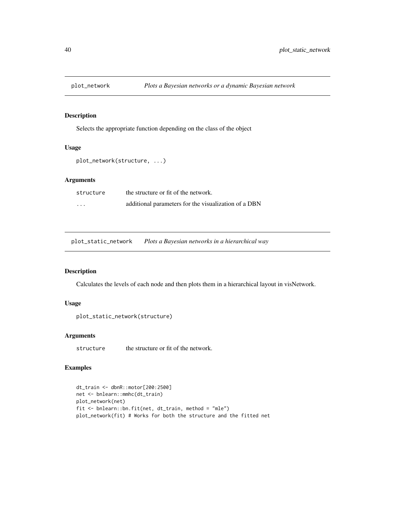<span id="page-39-0"></span>

Selects the appropriate function depending on the class of the object

#### Usage

plot\_network(structure, ...)

#### Arguments

| structure | the structure or fit of the network.                 |
|-----------|------------------------------------------------------|
| $\cdots$  | additional parameters for the visualization of a DBN |

plot\_static\_network *Plots a Bayesian networks in a hierarchical way*

### Description

Calculates the levels of each node and then plots them in a hierarchical layout in visNetwork.

#### Usage

```
plot_static_network(structure)
```
### Arguments

structure the structure or fit of the network.

#### Examples

```
dt_train <- dbnR::motor[200:2500]
net <- bnlearn::mmhc(dt_train)
plot_network(net)
fit <- bnlearn::bn.fit(net, dt_train, method = "mle")
plot_network(fit) # Works for both the structure and the fitted net
```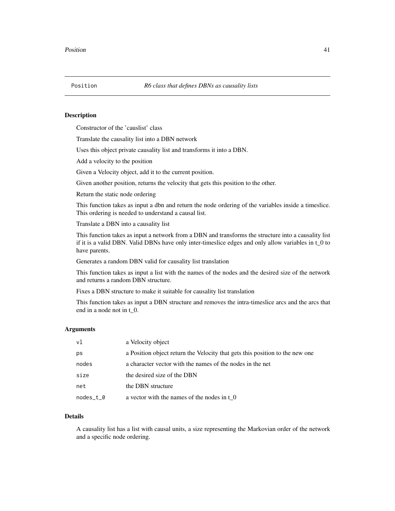<span id="page-40-0"></span>

Constructor of the 'causlist' class

Translate the causality list into a DBN network

Uses this object private causality list and transforms it into a DBN.

Add a velocity to the position

Given a Velocity object, add it to the current position.

Given another position, returns the velocity that gets this position to the other.

Return the static node ordering

This function takes as input a dbn and return the node ordering of the variables inside a timeslice. This ordering is needed to understand a causal list.

Translate a DBN into a causality list

This function takes as input a network from a DBN and transforms the structure into a causality list if it is a valid DBN. Valid DBNs have only inter-timeslice edges and only allow variables in t\_0 to have parents.

Generates a random DBN valid for causality list translation

This function takes as input a list with the names of the nodes and the desired size of the network and returns a random DBN structure.

Fixes a DBN structure to make it suitable for causality list translation

This function takes as input a DBN structure and removes the intra-timeslice arcs and the arcs that end in a node not in t\_0.

### Arguments

| v1        | a Velocity object                                                            |
|-----------|------------------------------------------------------------------------------|
| ps        | a Position object return the Velocity that gets this position to the new one |
| nodes     | a character vector with the names of the nodes in the net                    |
| size      | the desired size of the DBN                                                  |
| net       | the DBN structure                                                            |
| nodes_t_0 | a vector with the names of the nodes in $\tau$ 0                             |

### Details

A causality list has a list with causal units, a size representing the Markovian order of the network and a specific node ordering.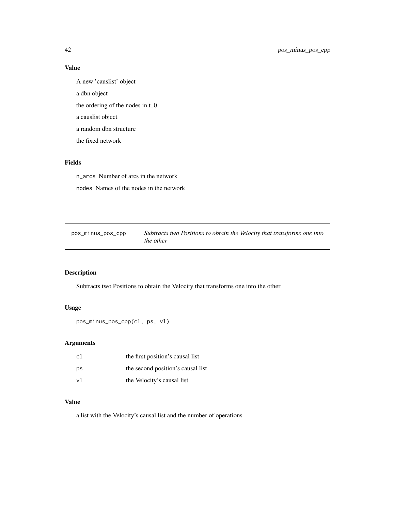### Value

A new 'causlist' object a dbn object the ordering of the nodes in t\_0 a causlist object a random dbn structure the fixed network

### Fields

n\_arcs Number of arcs in the network nodes Names of the nodes in the network

pos\_minus\_pos\_cpp *Subtracts two Positions to obtain the Velocity that transforms one into the other*

### Description

Subtracts two Positions to obtain the Velocity that transforms one into the other

### Usage

```
pos_minus_pos_cpp(cl, ps, vl)
```
### Arguments

| c1 | the first position's causal list  |
|----|-----------------------------------|
| ps | the second position's causal list |
| νl | the Velocity's causal list        |

#### Value

a list with the Velocity's causal list and the number of operations

<span id="page-41-0"></span>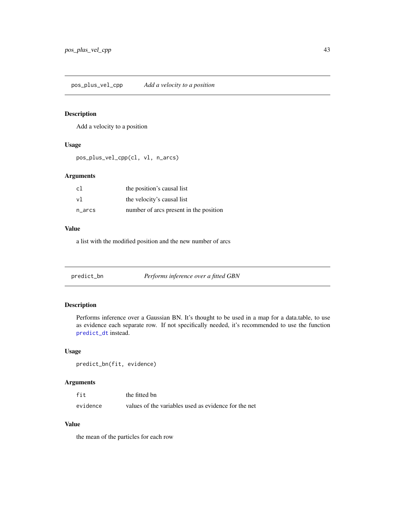<span id="page-42-0"></span>pos\_plus\_vel\_cpp *Add a velocity to a position*

#### Description

Add a velocity to a position

### Usage

pos\_plus\_vel\_cpp(cl, vl, n\_arcs)

### Arguments

| c1        | the position's causal list             |
|-----------|----------------------------------------|
| v1        | the velocity's causal list             |
| $n\_arcs$ | number of arcs present in the position |

#### Value

a list with the modified position and the new number of arcs

<span id="page-42-1"></span>

| predict_bn | Performs inference over a fitted GBN |
|------------|--------------------------------------|
|------------|--------------------------------------|

### Description

Performs inference over a Gaussian BN. It's thought to be used in a map for a data.table, to use as evidence each separate row. If not specifically needed, it's recommended to use the function [predict\\_dt](#page-43-1) instead.

### Usage

```
predict_bn(fit, evidence)
```
### Arguments

| fit      | the fitted bn                                        |
|----------|------------------------------------------------------|
| evidence | values of the variables used as evidence for the net |

### Value

the mean of the particles for each row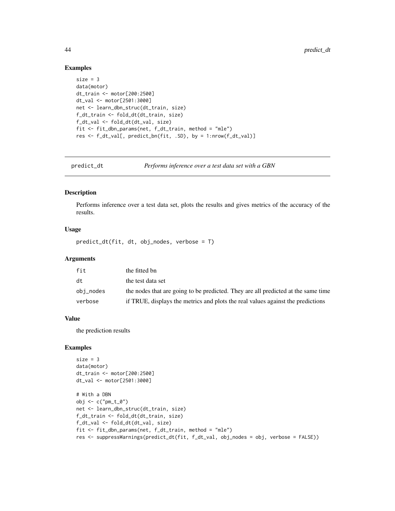#### Examples

```
size = 3data(motor)
dt_train <- motor[200:2500]
dt_val <- motor[2501:3000]
net <- learn_dbn_struc(dt_train, size)
f_dt_train <- fold_dt(dt_train, size)
f_dt_val <- fold_dt(dt_val, size)
fit <- fit_dbn_params(net, f_dt_train, method = "mle")
res <- f_dt_val[, predict_bn(fit, .SD), by = 1:nrow(f_dt_val)]
```
<span id="page-43-1"></span>predict\_dt *Performs inference over a test data set with a GBN*

#### Description

Performs inference over a test data set, plots the results and gives metrics of the accuracy of the results.

#### Usage

predict\_dt(fit, dt, obj\_nodes, verbose = T)

#### Arguments

| fit       | the fitted bn                                                                     |
|-----------|-----------------------------------------------------------------------------------|
| dt        | the test data set                                                                 |
| obj_nodes | the nodes that are going to be predicted. They are all predicted at the same time |
| verbose   | if TRUE, displays the metrics and plots the real values against the predictions   |

#### Value

the prediction results

#### Examples

```
size = 3data(motor)
dt_train <- motor[200:2500]
dt_val <- motor[2501:3000]
# With a DBN
obj <- c("pm_t_0")
net <- learn_dbn_struc(dt_train, size)
f_dt_train <- fold_dt(dt_train, size)
f_dt_val <- fold_dt(dt_val, size)
fit <- fit_dbn_params(net, f_dt_train, method = "mle")
res <- suppressWarnings(predict_dt(fit, f_dt_val, obj_nodes = obj, verbose = FALSE))
```
<span id="page-43-0"></span>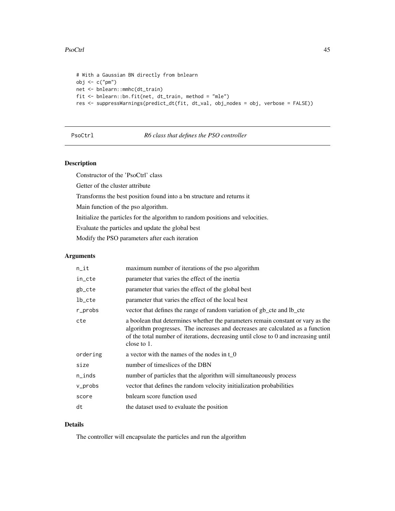#### <span id="page-44-0"></span>PsoCtrl 25 and 25 and 26 and 26 and 26 and 26 and 26 and 26 and 26 and 26 and 26 and 26 and 26 and 26 and 26 and 26 and 26 and 26 and 26 and 26 and 26 and 26 and 26 and 26 and 26 and 26 and 26 and 26 and 26 and 26 and 26 a

```
# With a Gaussian BN directly from bnlearn
obj <- c("pm")
net <- bnlearn::mmhc(dt_train)
fit <- bnlearn::bn.fit(net, dt_train, method = "mle")
res <- suppressWarnings(predict_dt(fit, dt_val, obj_nodes = obj, verbose = FALSE))
```
PsoCtrl *R6 class that defines the PSO controller*

### Description

Constructor of the 'PsoCtrl' class

Getter of the cluster attribute

Transforms the best position found into a bn structure and returns it

Main function of the pso algorithm.

Initialize the particles for the algorithm to random positions and velocities.

Evaluate the particles and update the global best

Modify the PSO parameters after each iteration

### Arguments

| $n$ _it   | maximum number of iterations of the pso algorithm                                                                                                                                                                                                                       |
|-----------|-------------------------------------------------------------------------------------------------------------------------------------------------------------------------------------------------------------------------------------------------------------------------|
| in_cte    | parameter that varies the effect of the inertia                                                                                                                                                                                                                         |
| gb_cte    | parameter that varies the effect of the global best                                                                                                                                                                                                                     |
| $lb\_cte$ | parameter that varies the effect of the local best                                                                                                                                                                                                                      |
| r_probs   | vector that defines the range of random variation of gb_cte and lb_cte                                                                                                                                                                                                  |
| cte       | a boolean that determines whether the parameters remain constant or vary as the<br>algorithm progresses. The increases and decreases are calculated as a function<br>of the total number of iterations, decreasing until close to 0 and increasing until<br>close to 1. |
| ordering  | a vector with the names of the nodes in $t_0$                                                                                                                                                                                                                           |
| size      | number of timeslices of the DBN                                                                                                                                                                                                                                         |
| n_inds    | number of particles that the algorithm will simultaneously process                                                                                                                                                                                                      |
| v_probs   | vector that defines the random velocity initialization probabilities                                                                                                                                                                                                    |
| score     | bnlearn score function used                                                                                                                                                                                                                                             |
| dt        | the dataset used to evaluate the position                                                                                                                                                                                                                               |

### Details

The controller will encapsulate the particles and run the algorithm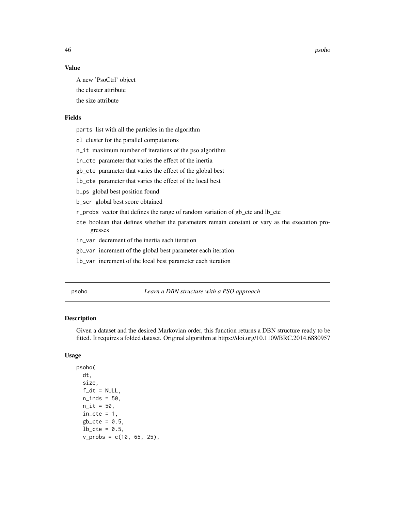46 psoho

### Value

A new 'PsoCtrl' object the cluster attribute the size attribute

### Fields

parts list with all the particles in the algorithm

cl cluster for the parallel computations

n\_it maximum number of iterations of the pso algorithm

in\_cte parameter that varies the effect of the inertia

gb\_cte parameter that varies the effect of the global best

lb\_cte parameter that varies the effect of the local best

b\_ps global best position found

b\_scr global best score obtained

r\_probs vector that defines the range of random variation of gb\_cte and lb\_cte

cte boolean that defines whether the parameters remain constant or vary as the execution progresses

in\_var decrement of the inertia each iteration

gb\_var increment of the global best parameter each iteration

lb\_var increment of the local best parameter each iteration

psoho *Learn a DBN structure with a PSO approach*

#### **Description**

Given a dataset and the desired Markovian order, this function returns a DBN structure ready to be fitted. It requires a folded dataset. Original algorithm at https://doi.org/10.1109/BRC.2014.6880957

#### Usage

```
psoho(
  dt,
  size,
  f_d t = NULL,n<sub>l</sub>inds = 50,
  n_{i} = 50,
  in\_cte = 1,
  gb_{cte} = 0.5,
  lb\_cte = 0.5,
  v_{\text{probs}} = c(10, 65, 25),
```
<span id="page-45-0"></span>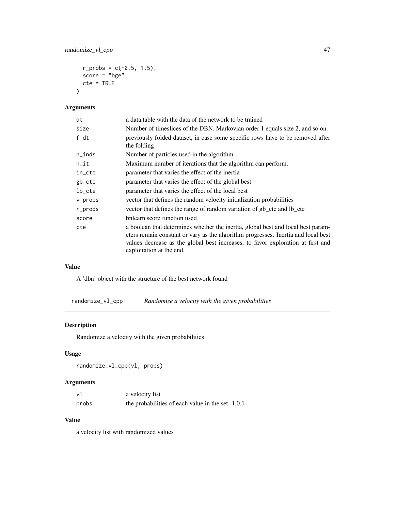```
r_{\text{probs}} = c(-0.5, 1.5),
score = "bge",
cte = TRUE
```
### Arguments

)

| dt        | a data table with the data of the network to be trained                                                                                                                                                                                                                              |
|-----------|--------------------------------------------------------------------------------------------------------------------------------------------------------------------------------------------------------------------------------------------------------------------------------------|
| size      | Number of timeslices of the DBN. Markovian order 1 equals size 2, and so on.                                                                                                                                                                                                         |
| $f_d$     | previously folded dataset, in case some specific rows have to be removed after<br>the folding                                                                                                                                                                                        |
| $n$ _inds | Number of particles used in the algorithm.                                                                                                                                                                                                                                           |
| $n$ _it   | Maximum number of iterations that the algorithm can perform.                                                                                                                                                                                                                         |
| in_cte    | parameter that varies the effect of the inertia                                                                                                                                                                                                                                      |
| gb_cte    | parameter that varies the effect of the global best                                                                                                                                                                                                                                  |
| lb_cte    | parameter that varies the effect of the local best                                                                                                                                                                                                                                   |
| v_probs   | vector that defines the random velocity initialization probabilities                                                                                                                                                                                                                 |
| r_probs   | vector that defines the range of random variation of gb_cte and lb_cte                                                                                                                                                                                                               |
| score     | bnlearn score function used                                                                                                                                                                                                                                                          |
| cte       | a boolean that determines whether the inertia, global best and local best param-<br>eters remain constant or vary as the algorithm progresses. Inertia and local best<br>values decrease as the global best increases, to favor exploration at first and<br>exploitation at the end. |

### Value

A 'dbn' object with the structure of the best network found

randomize\_vl\_cpp *Randomize a velocity with the given probabilities*

### Description

Randomize a velocity with the given probabilities

### Usage

```
randomize_vl_cpp(vl, probs)
```
### Arguments

| vl    | a velocity list                                     |
|-------|-----------------------------------------------------|
| probs | the probabilities of each value in the set $-1,0,1$ |

### Value

a velocity list with randomized values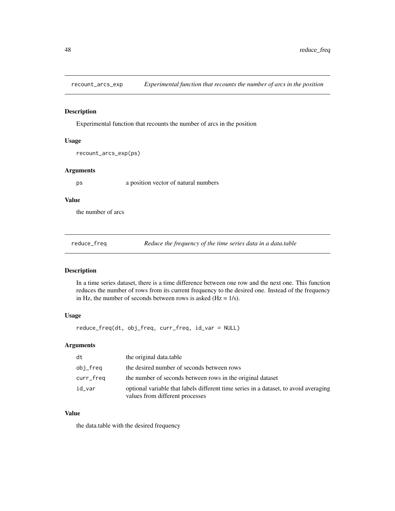<span id="page-47-0"></span>

Experimental function that recounts the number of arcs in the position

#### Usage

```
recount_arcs_exp(ps)
```
#### Arguments

ps a position vector of natural numbers

#### Value

the number of arcs

reduce\_freq *Reduce the frequency of the time series data in a data.table*

### Description

In a time series dataset, there is a time difference between one row and the next one. This function reduces the number of rows from its current frequency to the desired one. Instead of the frequency in Hz, the number of seconds between rows is asked  $(Hz = 1/s)$ .

### Usage

reduce\_freq(dt, obj\_freq, curr\_freq, id\_var = NULL)

### Arguments

| dt        | the original data.table                                                                                                 |
|-----------|-------------------------------------------------------------------------------------------------------------------------|
| obj_freq  | the desired number of seconds between rows                                                                              |
| curr_freq | the number of seconds between rows in the original dataset                                                              |
| id_var    | optional variable that labels different time series in a dataset, to avoid averaging<br>values from different processes |

### Value

the data.table with the desired frequency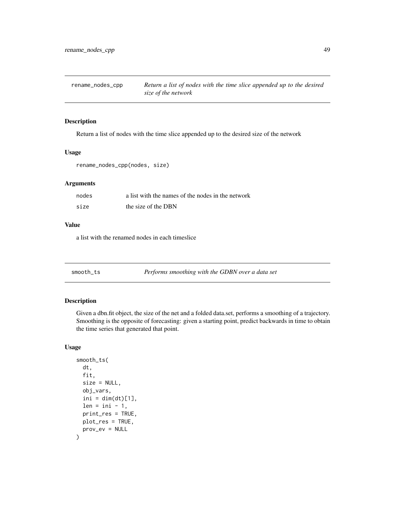<span id="page-48-0"></span>

Return a list of nodes with the time slice appended up to the desired size of the network

### Usage

```
rename_nodes_cpp(nodes, size)
```
#### Arguments

| nodes | a list with the names of the nodes in the network |
|-------|---------------------------------------------------|
| size  | the size of the DBN                               |

#### Value

a list with the renamed nodes in each timeslice

smooth\_ts *Performs smoothing with the GDBN over a data set*

#### Description

Given a dbn.fit object, the size of the net and a folded data.set, performs a smoothing of a trajectory. Smoothing is the opposite of forecasting: given a starting point, predict backwards in time to obtain the time series that generated that point.

#### Usage

```
smooth_ts(
  dt,
  fit,
  size = NULL,
  obj_vars,
  ini = dim(dt)[1],len = ini - 1,
  print_res = TRUE,
 plot_res = TRUE,
  prov_ev = NULL
\mathcal{E}
```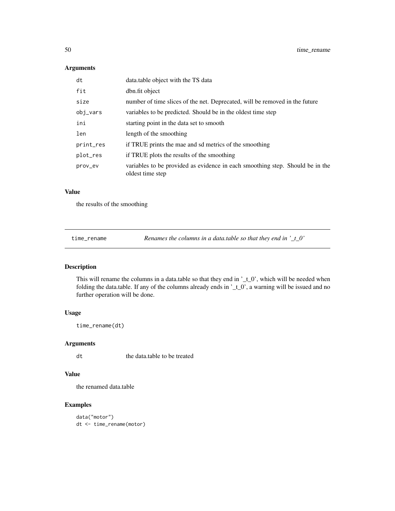#### Arguments

| dt        | data.table object with the TS data                                                                |
|-----------|---------------------------------------------------------------------------------------------------|
| fit       | dbn.fit object                                                                                    |
| size      | number of time slices of the net. Deprecated, will be removed in the future                       |
| obj_vars  | variables to be predicted. Should be in the oldest time step                                      |
| ini       | starting point in the data set to smooth                                                          |
| len       | length of the smoothing                                                                           |
| print_res | if TRUE prints the mae and sd metrics of the smoothing                                            |
| plot_res  | if TRUE plots the results of the smoothing                                                        |
| prov_ev   | variables to be provided as evidence in each smoothing step. Should be in the<br>oldest time step |

### Value

the results of the smoothing

time\_rename *Renames the columns in a data.table so that they end in '\_t\_0'*

### Description

This will rename the columns in a data.table so that they end in '\_t\_0', which will be needed when folding the data.table. If any of the columns already ends in '\_t\_0', a warning will be issued and no further operation will be done.

#### Usage

time\_rename(dt)

#### Arguments

dt the data.table to be treated

#### Value

the renamed data.table

### Examples

data("motor") dt <- time\_rename(motor)

<span id="page-49-0"></span>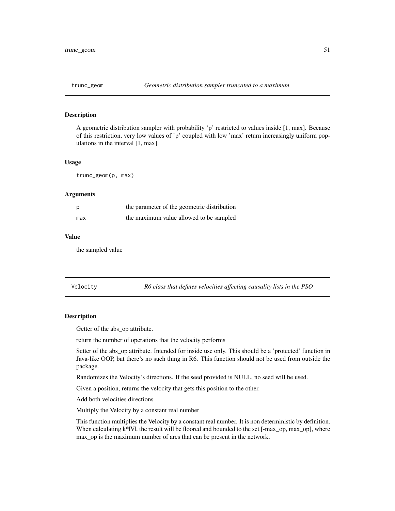<span id="page-50-0"></span>

A geometric distribution sampler with probability 'p' restricted to values inside [1, max]. Because of this restriction, very low values of 'p' coupled with low 'max' return increasingly uniform populations in the interval [1, max].

#### Usage

trunc\_geom(p, max)

#### Arguments

|     | the parameter of the geometric distribution |
|-----|---------------------------------------------|
| max | the maximum value allowed to be sampled     |

#### Value

the sampled value

Velocity *R6 class that defines velocities affecting causality lists in the PSO*

#### Description

Getter of the abs\_op attribute.

return the number of operations that the velocity performs

Setter of the abs\_op attribute. Intended for inside use only. This should be a 'protected' function in Java-like OOP, but there's no such thing in R6. This function should not be used from outside the package.

Randomizes the Velocity's directions. If the seed provided is NULL, no seed will be used.

Given a position, returns the velocity that gets this position to the other.

Add both velocities directions

Multiply the Velocity by a constant real number

This function multiplies the Velocity by a constant real number. It is non deterministic by definition. When calculating  $k^*|V|$ , the result will be floored and bounded to the set  $[-max\_op, max\_op]$ , where max\_op is the maximum number of arcs that can be present in the network.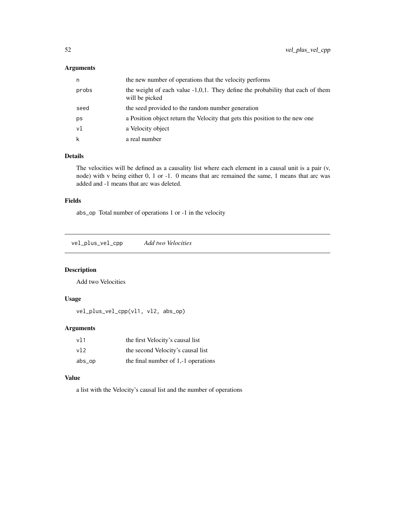### <span id="page-51-0"></span>Arguments

| n     | the new number of operations that the velocity performs                                             |
|-------|-----------------------------------------------------------------------------------------------------|
| probs | the weight of each value $-1,0,1$ . They define the probability that each of them<br>will be picked |
| seed  | the seed provided to the random number generation                                                   |
| ps    | a Position object return the Velocity that gets this position to the new one                        |
| vl    | a Velocity object                                                                                   |
| k     | a real number                                                                                       |

### Details

The velocities will be defined as a causality list where each element in a causal unit is a pair (v, node) with v being either 0, 1 or -1. 0 means that arc remained the same, 1 means that arc was added and -1 means that arc was deleted.

### Fields

abs\_op Total number of operations 1 or -1 in the velocity

vel\_plus\_vel\_cpp *Add two Velocities*

### Description

Add two Velocities

### Usage

vel\_plus\_vel\_cpp(vl1, vl2, abs\_op)

#### Arguments

| v11    | the first Velocity's causal list      |
|--------|---------------------------------------|
| v12    | the second Velocity's causal list     |
| abs_op | the final number of $1,-1$ operations |

### Value

a list with the Velocity's causal list and the number of operations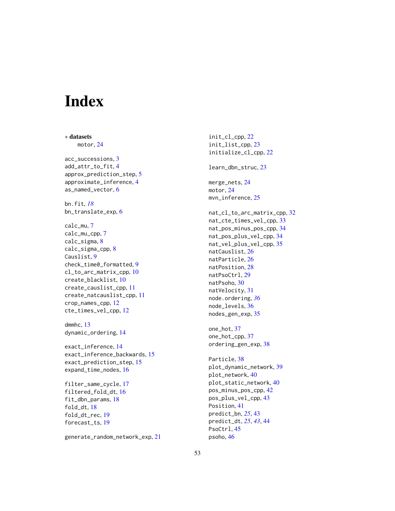# <span id="page-52-0"></span>Index

∗ datasets motor, [24](#page-23-0) acc\_successions, [3](#page-2-0) add\_attr\_to\_fit, [4](#page-3-0) approx\_prediction\_step, [5](#page-4-0) approximate\_inference, [4](#page-3-0) as\_named\_vector, [6](#page-5-0) bn.fit, *[18](#page-17-0)* bn\_translate\_exp, [6](#page-5-0) calc\_mu, [7](#page-6-0) calc\_mu\_cpp, [7](#page-6-0) calc\_sigma, [8](#page-7-0) calc\_sigma\_cpp, [8](#page-7-0) Causlist, [9](#page-8-0) check\_time0\_formatted, [9](#page-8-0) cl\_to\_arc\_matrix\_cpp, [10](#page-9-0) create\_blacklist, [10](#page-9-0) create\_causlist\_cpp, [11](#page-10-0) create\_natcauslist\_cpp, [11](#page-10-0) crop\_names\_cpp, [12](#page-11-0) cte\_times\_vel\_cpp, [12](#page-11-0) dmmhc, [13](#page-12-0) dynamic\_ordering, [14](#page-13-0) exact\_inference, [14](#page-13-0) exact\_inference\_backwards, [15](#page-14-0) exact\_prediction\_step, [15](#page-14-0) expand\_time\_nodes, [16](#page-15-0) filter\_same\_cycle, [17](#page-16-0) filtered\_fold\_dt, [16](#page-15-0) fit\_dbn\_params, [18](#page-17-0) fold\_dt, [18](#page-17-0) fold\_dt\_rec, [19](#page-18-0)

generate\_random\_network\_exp, [21](#page-20-0)

forecast\_ts, [19](#page-18-0)

init\_cl\_cpp, [22](#page-21-0) init\_list\_cpp, [23](#page-22-0) initialize\_cl\_cpp, [22](#page-21-0) learn\_dbn\_struc, [23](#page-22-0) merge\_nets, [24](#page-23-0) motor, [24](#page-23-0) mvn\_inference, [25](#page-24-0) nat\_cl\_to\_arc\_matrix\_cpp, [32](#page-31-0) nat\_cte\_times\_vel\_cpp, [33](#page-32-0) nat\_pos\_minus\_pos\_cpp, [34](#page-33-0) nat\_pos\_plus\_vel\_cpp, [34](#page-33-0) nat\_vel\_plus\_vel\_cpp, [35](#page-34-0) natCauslist, [26](#page-25-0) natParticle, [26](#page-25-0) natPosition, [28](#page-27-0) natPsoCtrl, [29](#page-28-0) natPsoho, [30](#page-29-0) natVelocity, [31](#page-30-0) node.ordering, *[36](#page-35-0)* node\_levels, [36](#page-35-0) nodes\_gen\_exp, [35](#page-34-0) one\_hot, [37](#page-36-0) one\_hot\_cpp, [37](#page-36-0) ordering\_gen\_exp, [38](#page-37-0) Particle, [38](#page-37-0) plot\_dynamic\_network, [39](#page-38-0) plot\_network, [40](#page-39-0) plot\_static\_network, [40](#page-39-0) pos\_minus\_pos\_cpp, [42](#page-41-0) pos\_plus\_vel\_cpp, [43](#page-42-0) Position, [41](#page-40-0) predict\_bn, *[25](#page-24-0)*, [43](#page-42-0) predict\_dt, *[25](#page-24-0)*, *[43](#page-42-0)*, [44](#page-43-0)

PsoCtrl, [45](#page-44-0) psoho, [46](#page-45-0)